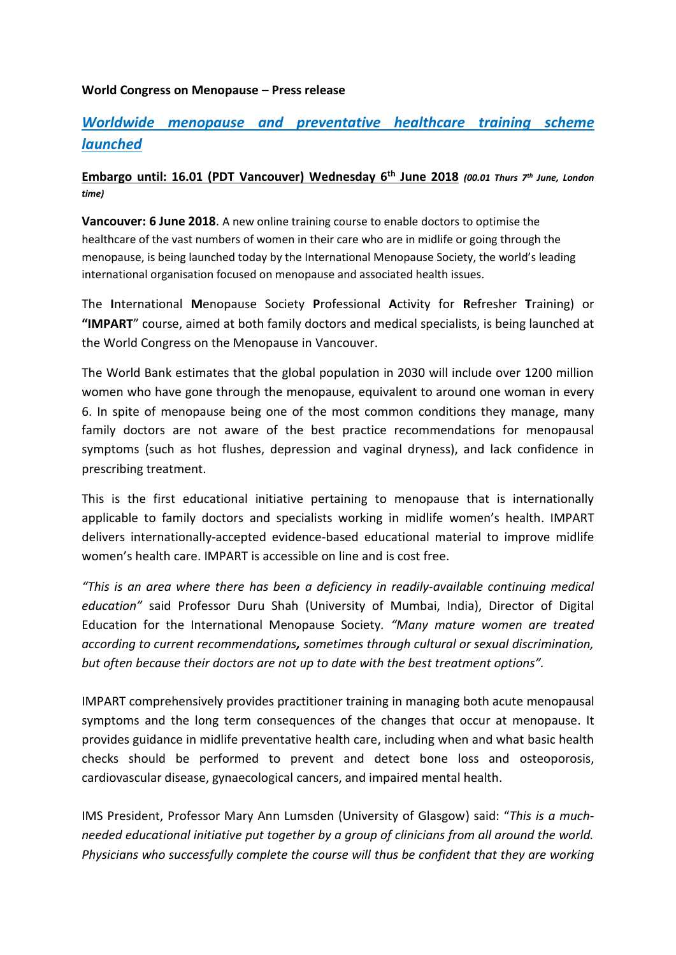## **World Congress on Menopause – Press release**

## *Worldwide menopause and preventative healthcare training scheme launched*

## **Embargo until: 16.01 (PDT Vancouver) Wednesday 6th June 2018** *(00.01 Thurs 7th June, London time)*

**Vancouver: 6 June 2018**. A new online training course to enable doctors to optimise the healthcare of the vast numbers of women in their care who are in midlife or going through the menopause, is being launched today by the International Menopause Society, the world's leading international organisation focused on menopause and associated health issues.

The **I**nternational **M**enopause Society **P**rofessional **A**ctivity for **R**efresher **T**raining) or **"IMPART**" course, aimed at both family doctors and medical specialists, is being launched at the World Congress on the Menopause in Vancouver.

The World Bank estimates that the global population in 2030 will include over 1200 million women who have gone through the menopause, equivalent to around one woman in every 6. In spite of menopause being one of the most common conditions they manage, many family doctors are not aware of the best practice recommendations for menopausal symptoms (such as hot flushes, depression and vaginal dryness), and lack confidence in prescribing treatment.

This is the first educational initiative pertaining to menopause that is internationally applicable to family doctors and specialists working in midlife women's health. IMPART delivers internationally-accepted evidence-based educational material to improve midlife women's health care. IMPART is accessible on line and is cost free.

*"This is an area where there has been a deficiency in readily-available continuing medical education"* said Professor Duru Shah (University of Mumbai, India), Director of Digital Education for the International Menopause Society*. "Many mature women are treated according to current recommendations, sometimes through cultural or sexual discrimination, but often because their doctors are not up to date with the best treatment options".*

IMPART comprehensively provides practitioner training in managing both acute menopausal symptoms and the long term consequences of the changes that occur at menopause. It provides guidance in midlife preventative health care, including when and what basic health checks should be performed to prevent and detect bone loss and osteoporosis, cardiovascular disease, gynaecological cancers, and impaired mental health.

IMS President, Professor Mary Ann Lumsden (University of Glasgow) said: "*This is a muchneeded educational initiative put together by a group of clinicians from all around the world. Physicians who successfully complete the course will thus be confident that they are working*